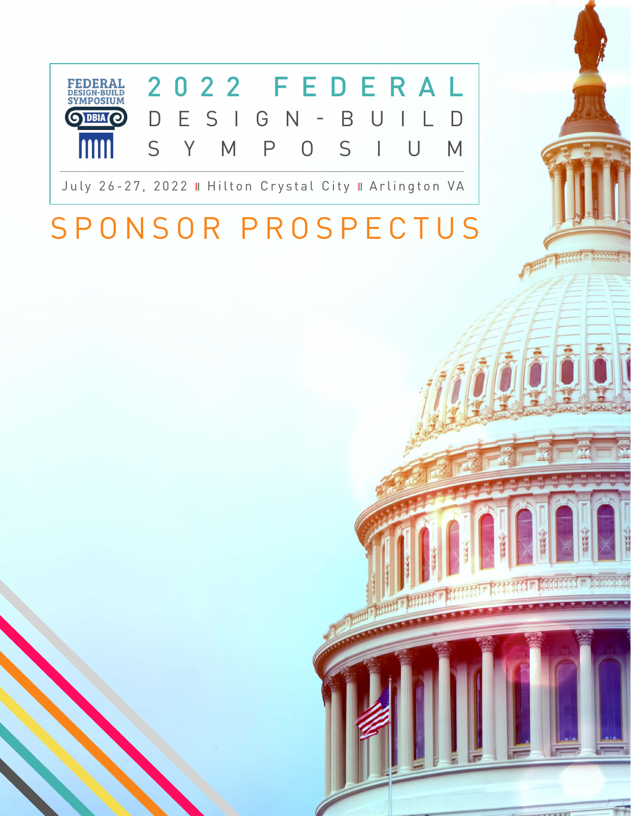

# SPONSOR PROSPECTUS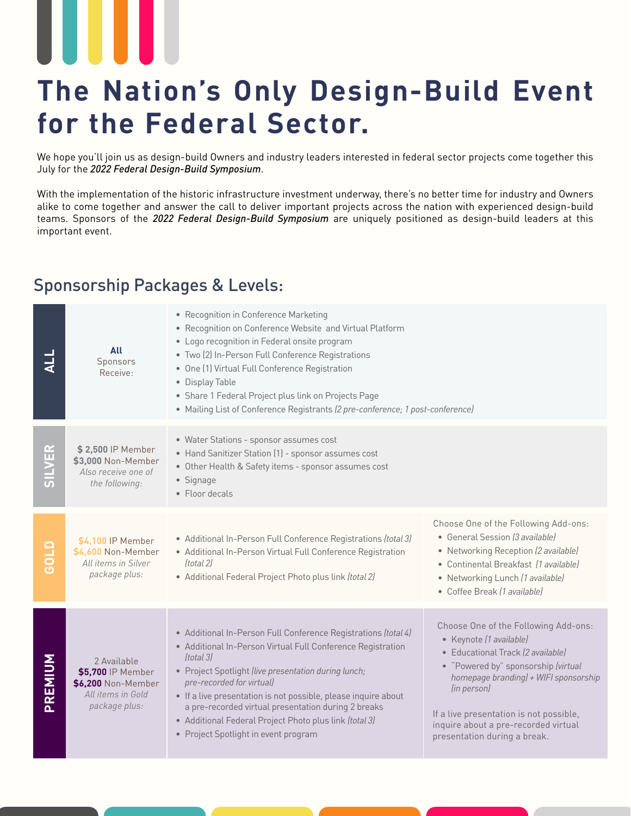## **The Nation's Only Design-Build Event for the Federal Sector.**

We hope you'll join us as design-build Owners and industry leaders interested in federal sector projects come together this July for the *2022 Federal Design-Build Symposium*.

With the implementation of the historic infrastructure investment underway, there's no better time for industry and Owners alike to come together and answer the call to deliver important projects across the nation with experienced design-build teams. Sponsors of the *2022 Federal Design-Build Symposium* are uniquely positioned as design-build leaders at this important event.

### Sponsorship Packages & Levels:

|                 | All<br>Sponsors<br>Receive:                                                                  | • Recognition in Conference Marketing<br>• Recognition on Conference Website and Virtual Platform<br>• Logo recognition in Federal onsite program<br>· Two (2) In-Person Full Conference Registrations<br>• One (1) Virtual Full Conference Registration<br>• Display Table<br>• Share 1 Federal Project plus link on Projects Page<br>• Mailing List of Conference Registrants (2 pre-conference; 1 post-conference)                                      |                                                                                                                                                                                                                                                                                                                        |
|-----------------|----------------------------------------------------------------------------------------------|------------------------------------------------------------------------------------------------------------------------------------------------------------------------------------------------------------------------------------------------------------------------------------------------------------------------------------------------------------------------------------------------------------------------------------------------------------|------------------------------------------------------------------------------------------------------------------------------------------------------------------------------------------------------------------------------------------------------------------------------------------------------------------------|
| SILVER          | \$2,500 IP Member<br>\$3,000 Non-Member<br>Also receive one of<br>the following:             | • Water Stations - sponsor assumes cost<br>• Hand Sanitizer Station (1) - sponsor assumes cost<br>• Other Health & Safety items - sponsor assumes cost<br>• Signage<br>• Floor decals                                                                                                                                                                                                                                                                      |                                                                                                                                                                                                                                                                                                                        |
| G <sub>10</sub> | \$4,100 IP Member<br>\$4,600 Non-Member<br>All items in Silver<br>package plus:              | • Additional In-Person Full Conference Registrations (total 3)<br>• Additional In-Person Virtual Full Conference Registration<br>(total 2)<br>• Additional Federal Project Photo plus link (total 2)                                                                                                                                                                                                                                                       | Choose One of the Following Add-ons:<br>• General Session (3 available)<br>• Networking Reception (2 available)<br>• Continental Breakfast (1 available)<br>• Networking Lunch (1 available)<br>• Coffee Break (1 available)                                                                                           |
| PREMIUM         | 2 Available<br>\$5,700 IP Member<br>\$6,200 Non-Member<br>All items in Gold<br>package plus: | • Additional In-Person Full Conference Registrations (total 4)<br>• Additional In-Person Virtual Full Conference Registration<br>(total 3)<br>· Project Spotlight (live presentation during lunch;<br>pre-recorded for virtual)<br>• If a live presentation is not possible, please inquire about<br>a pre-recorded virtual presentation during 2 breaks<br>• Additional Federal Project Photo plus link (total 3)<br>• Project Spotlight in event program | Choose One of the Following Add-ons:<br>• Keynote (1 available)<br>• Educational Track (2 available)<br>• "Powered by" sponsorship (virtual<br>homepage branding) + WIFI sponsorship<br>(in person)<br>If a live presentation is not possible,<br>inquire about a pre-recorded virtual<br>presentation during a break. |